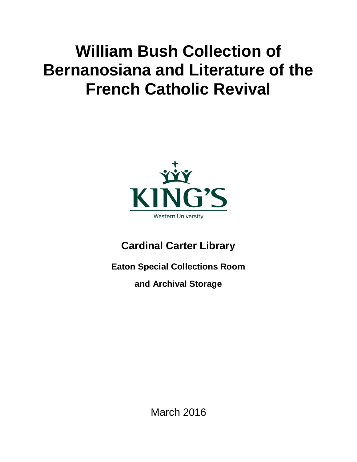## **William Bush Collection of Bernanosiana and Literature of the French Catholic Revival**



**Cardinal Carter Library**

**Eaton Special Collections Room**

**and Archival Storage**

March 2016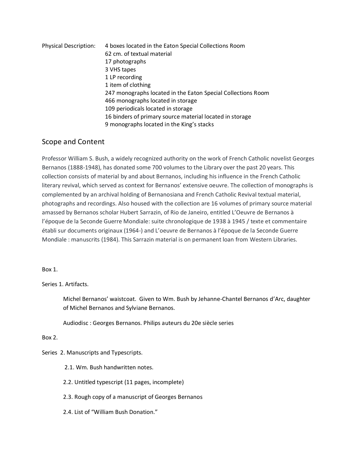| <b>Physical Description:</b> | 4 boxes located in the Eaton Special Collections Room        |
|------------------------------|--------------------------------------------------------------|
|                              | 62 cm. of textual material                                   |
|                              | 17 photographs                                               |
|                              | 3 VHS tapes                                                  |
|                              | 1 LP recording                                               |
|                              | 1 item of clothing                                           |
|                              | 247 monographs located in the Eaton Special Collections Room |
|                              | 466 monographs located in storage                            |
|                              | 109 periodicals located in storage                           |
|                              | 16 binders of primary source material located in storage     |
|                              | 9 monographs located in the King's stacks                    |

## Scope and Content

Professor William S. Bush, a widely recognized authority on the work of French Catholic novelist Georges Bernanos (1888-1948), has donated some 700 volumes to the Library over the past 20 years. This collection consists of material by and about Bernanos, including his influence in the French Catholic literary revival, which served as context for Bernanos' extensive oeuvre. The collection of monographs is complemented by an archival holding of Bernanosiana and French Catholic Revival textual material, photographs and recordings. Also housed with the collection are 16 volumes of primary source material amassed by Bernanos scholar Hubert Sarrazin, of Rio de Janeiro, entitled L'Oeuvre de Bernanos à l'époque de la Seconde Guerre Mondiale: suite chronologique de 1938 à 1945 / texte et commentaire établi sur documents originaux (1964-) and L'oeuvre de Bernanos à l'époque de la Seconde Guerre Mondiale : manuscrits (1984). This Sarrazin material is on permanent loan from Western Libraries.

Box 1.

Series 1. Artifacts.

Michel Bernanos' waistcoat. Given to Wm. Bush by Jehanne-Chantel Bernanos d'Arc, daughter of Michel Bernanos and Sylviane Bernanos.

Audiodisc : Georges Bernanos. Philips auteurs du 20e siècle series

## Box 2.

Series 2. Manuscripts and Typescripts.

- 2.1. Wm. Bush handwritten notes.
- 2.2. Untitled typescript (11 pages, incomplete)
- 2.3. Rough copy of a manuscript of Georges Bernanos
- 2.4. List of "William Bush Donation."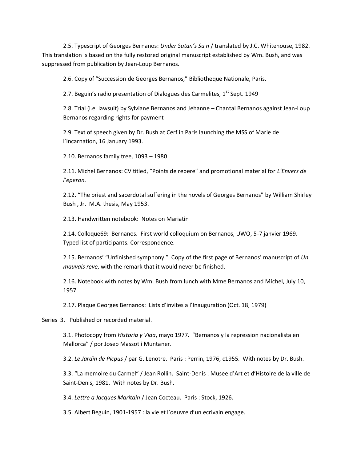2.5. Typescript of Georges Bernanos: *Under Satan's Su n* / translated by J.C. Whitehouse, 1982. This translation is based on the fully restored original manuscript established by Wm. Bush, and was suppressed from publication by Jean-Loup Bernanos.

2.6. Copy of "Succession de Georges Bernanos," Bibliotheque Nationale, Paris.

2.7. Beguin's radio presentation of Dialogues des Carmelites, 1<sup>st</sup> Sept. 1949

2.8. Trial (i.e. lawsuit) by Sylviane Bernanos and Jehanne – Chantal Bernanos against Jean-Loup Bernanos regarding rights for payment

2.9. Text of speech given by Dr. Bush at Cerf in Paris launching the MSS of Marie de l'Incarnation, 16 January 1993.

2.10. Bernanos family tree, 1093 – 1980

2.11. Michel Bernanos: CV titled, "Points de repere" and promotional material for *L'Envers de l'eperon.*

2.12. "The priest and sacerdotal suffering in the novels of Georges Bernanos" by William Shirley Bush , Jr. M.A. thesis, May 1953.

2.13. Handwritten notebook: Notes on Mariatin

2.14. Colloque69: Bernanos. First world colloquium on Bernanos, UWO, 5-7 janvier 1969. Typed list of participants. Correspondence.

2.15. Bernanos' "Unfinished symphony." Copy of the first page of Bernanos' manuscript of *Un mauvais reve*, with the remark that it would never be finished.

2.16. Notebook with notes by Wm. Bush from lunch with Mme Bernanos and Michel, July 10, 1957

2.17. Plaque Georges Bernanos: Lists d'invites a l'Inauguration (Oct. 18, 1979)

Series 3. Published or recorded material.

3.1. Photocopy from *Historia y Vida*, mayo 1977. "Bernanos y la repression nacionalista en Mallorca" / por Josep Massot i Muntaner.

3.2. *Le Jardin de Picpus* / par G. Lenotre. Paris : Perrin, 1976, c1955. With notes by Dr. Bush.

3.3. "La memoire du Carmel" / Jean Rollin. Saint-Denis : Musee d'Art et d'Histoire de la ville de Saint-Denis, 1981. With notes by Dr. Bush.

3.4. *Lettre a Jacques Maritain* / Jean Cocteau. Paris : Stock, 1926.

3.5. Albert Beguin, 1901-1957 : la vie et l'oeuvre d'un ecrivain engage.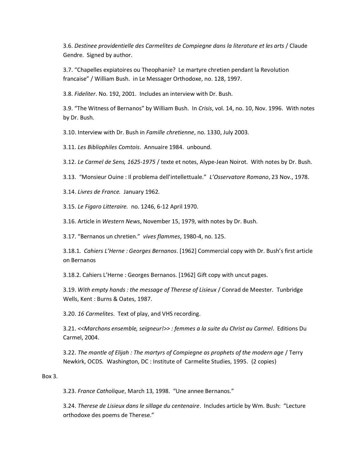3.6. *Destinee providentielle des Carmelites de Compiegne dans la literature et les arts* / Claude Gendre. Signed by author.

3.7. "Chapelles expiatoires ou Theophanie? Le martyre chretien pendant la Revolution francaise" / William Bush. in Le Messager Orthodoxe, no. 128, 1997.

3.8. *Fideliter*. No. 192, 2001. Includes an interview with Dr. Bush.

3.9. "The Witness of Bernanos" by William Bush. In *Crisis*, vol. 14, no. 10, Nov. 1996. With notes by Dr. Bush.

3.10. Interview with Dr. Bush in *Famille chretienne*, no. 1330, July 2003.

3.11. *Les Bibliophiles Comtois*. Annuaire 1984. unbound.

3.12. *Le Carmel de Sens, 1625-1975* / texte et notes, Alype-Jean Noirot. With notes by Dr. Bush.

3.13. "Monsieur Ouine : Il problema dell'intellettuale." *L'Osservatore Romano*, 23 Nov., 1978.

3.14. *Livres de France.* January 1962.

3.15. *Le Figaro Litteraire.* no. 1246, 6-12 April 1970.

3.16. Article in *Western News*, November 15, 1979, with notes by Dr. Bush.

3.17. "Bernanos un chretien." *vives flammes*, 1980-4, no. 125.

3.18.1. *Cahiers L'Herne : Georges Bernanos*. [1962] Commercial copy with Dr. Bush's first article on Bernanos

3.18.2. Cahiers L'Herne : Georges Bernanos. [1962] Gift copy with uncut pages.

3.19. *With empty hands : the message of Therese of Lisieux* / Conrad de Meester. Tunbridge Wells, Kent : Burns & Oates, 1987.

3.20. *16 Carmelites*. Text of play, and VHS recording.

3.21. *<<Marchons ensemble, seigneur!>> : femmes a la suite du Christ au Carmel*. Editions Du Carmel, 2004.

3.22. *The mantle of Elijah : The martyrs of Compiegne as prophets of the modern age* / Terry Newkirk, OCDS. Washington, DC : Institute of Carmelite Studies, 1995. (2 copies)

Box 3.

3.23. *France Catholique*, March 13, 1998. "Une annee Bernanos."

3.24. *Therese de Lisieux dans le sillage du centenaire*. Includes article by Wm. Bush: "Lecture orthodoxe des poems de Therese."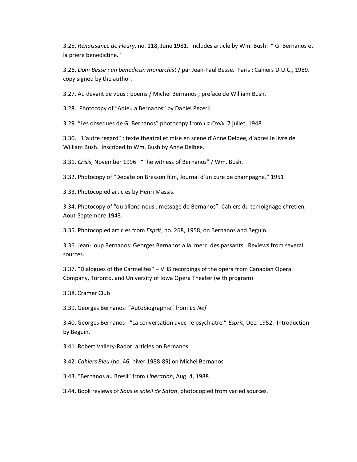3.25. *Renaissance de Fleury*, no. 118, June 1981. Includes article by Wm. Bush: " G. Bernanos et la priere benedictine."

3.26. *Dom Besse : un benedictin monarchist* / par Jean-Paul Besse. Paris : Cahiers D.U.C., 1989. copy signed by the author.

3.27. Au devant de vous : poems / Michel Bernanos ; preface de William Bush.

3.28. Photocopy of "Adieu a Bernanos" by Daniel Pezeril.

3.29. "Les obseques de G. Bernanos" photocopy from *La Croix*, 7 juilet, 1948.

3.30. "L'autre regard" : texte theatral et mise en scene d'Anne Delbee, d'apres le livre de William Bush. Inscribed to Wm. Bush by Anne Delbee.

3.31. *Crisis*, November 1996. "The witness of Bernanos" / Wm. Bush.

3.32. Photocopy of "Debate on Bresson film, Journal d'un cure de champagne." 1951

3.33. Photocopied articles by Henri Massis.

3.34. Photocopy of "ou allons-nous : message de Bernanos". Cahiers du temoignage chretien, Aout-Septembre 1943.

3.35. Photocopied articles from *Esprit*, no. 268, 1958, on Bernanos and Beguin.

3.36. Jean-Loup Bernanos: Georges Bernanos a la merci des passants. Reviews from several sources.

3.37. "Dialogues of the Carmelites" – VHS recordings of the opera from Canadian Opera Company, Toronto, and University of Iowa Opera Theater (with program)

3.38. Cramer Club

3.39. Georges Bernanos: "Autobiographie" from *La Nef*

3.40. Georges Bernanos: "La conversation avec le psychiatre." *Esprit*, Dec. 1952. Introduction by Beguin.

3.41. Robert Vallery-Radot: articles on Bernanos.

3.42. *Cahiers Bleu* (no. 46, hiver 1988-89) on Michel Bernanos

3.43. "Bernanos au Bresil" from *Liberation*, Aug. 4, 1988

3.44. Book reviews of *Sous le soleil de Satan*, photocopied from varied sources.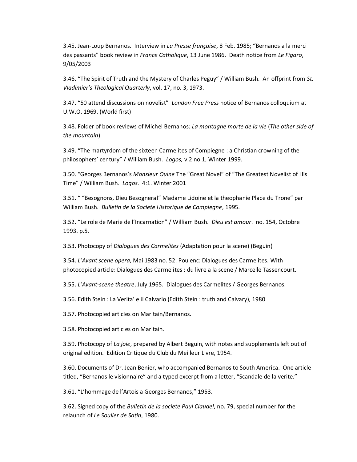3.45. Jean-Loup Bernanos. Interview in *La Presse française*, 8 Feb. 1985; "Bernanos a la merci des passants" book review in *France Catholique*, 13 June 1986. Death notice from *Le Figaro*, 9/05/2003

3.46. "The Spirit of Truth and the Mystery of Charles Peguy" / William Bush. An offprint from *St. Vladimier's Theological Quarterly*, vol. 17, no. 3, 1973.

3.47. "50 attend discussions on novelist" *London Free Press* notice of Bernanos colloquium at U.W.O. 1969. (World first)

3.48. Folder of book reviews of Michel Bernanos: *La montagne morte de la vie* (*The other side of the mountain*)

3.49. "The martyrdom of the sixteen Carmelites of Compiegne : a Christian crowning of the philosophers' century" / William Bush. *Logos,* v.2 no.1, Winter 1999.

3.50. "Georges Bernanos's *Monsieur Ouine* The "Great Novel" of "The Greatest Novelist of His Time" / William Bush. *Logos*. 4:1. Winter 2001

3.51. " "Besognons, Dieu Besognera!" Madame Lidoine et la theophanie Place du Trone" par William Bush. *Bulletin de la Societe Historique de Compiegne*, 1995.

3.52. "Le role de Marie de l'Incarnation" / William Bush. *Dieu est amour*. no. 154, Octobre 1993. p.5.

3.53. Photocopy of *Dialogues des Carmelites* (Adaptation pour la scene) (Beguin)

3.54. *L'Avant scene opera*, Mai 1983 no. 52. Poulenc: Dialogues des Carmelites. With photocopied article: Dialogues des Carmelites : du livre a la scene / Marcelle Tassencourt.

3.55. *L'Avant-scene theatre*, July 1965. Dialogues des Carmelites / Georges Bernanos.

3.56. Edith Stein : La Verita' e il Calvario (Edith Stein : truth and Calvary), 1980

3.57. Photocopied articles on Maritain/Bernanos.

3.58. Photocopied articles on Maritain.

3.59. Photocopy of *La joie*, prepared by Albert Beguin, with notes and supplements left out of original edition. Edition Critique du Club du Meilleur Livre, 1954.

3.60. Documents of Dr. Jean Benier, who accompanied Bernanos to South America. One article titled, "Bernanos le visionnaire" and a typed excerpt from a letter, "Scandale de la verite."

3.61. "L'hommage de l'Artois a Georges Bernanos," 1953.

3.62. Signed copy of the *Bulletin de la societe Paul Claudel*, no. 79, special number for the relaunch of *Le Soulier de Satin*, 1980.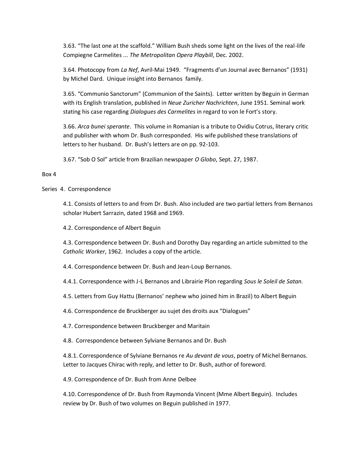3.63. "The last one at the scaffold." William Bush sheds some light on the lives of the real-life Compiegne Carmelites ... *The Metropolitan Opera Playbill*, Dec. 2002.

3.64. Photocopy from *La Nef*, Avril-Mai 1949. "Fragments d'un Journal avec Bernanos" (1931) by Michel Dard. Unique insight into Bernanos family.

3.65. "Communio Sanctorum" (Communion of the Saints). Letter written by Beguin in German with its English translation, published in *Neue Zuricher Nachrichten*, June 1951. Seminal work stating his case regarding *Dialogues des Carmelites* in regard to von le Fort's story.

3.66. *Arca bunei sperante*. This volume in Romanian is a tribute to Ovidiu Cotrus, literary critic and publisher with whom Dr. Bush corresponded. His wife published these translations of letters to her husband. Dr. Bush's letters are on pp. 92-103.

3.67. "Sob O Sol" article from Brazilian newspaper *O Globo*, Sept. 27, 1987.

## Box 4

Series 4. Correspondence

4.1. Consists of letters to and from Dr. Bush. Also included are two partial letters from Bernanos scholar Hubert Sarrazin, dated 1968 and 1969.

4.2. Correspondence of Albert Beguin

4.3. Correspondence between Dr. Bush and Dorothy Day regarding an article submitted to the *Catholic Worker*, 1962. Includes a copy of the article.

4.4. Correspondence between Dr. Bush and Jean-Loup Bernanos.

4.4.1. Correspondence with J-L Bernanos and Librairie Plon regarding *Sous le Soleil de Satan.*

4.5. Letters from Guy Hattu (Bernanos' nephew who joined him in Brazil) to Albert Beguin

4.6. Correspondence de Bruckberger au sujet des droits aux "Dialogues"

4.7. Correspondence between Bruckberger and Maritain

4.8. Correspondence between Sylviane Bernanos and Dr. Bush

4.8.1. Correspondence of Sylviane Bernanos re *Au devant de vous*, poetry of Michel Bernanos. Letter to Jacques Chirac with reply, and letter to Dr. Bush, author of foreword.

4.9. Correspondence of Dr. Bush from Anne Delbee

4.10. Correspondence of Dr. Bush from Raymonda Vincent (Mme Albert Beguin). Includes review by Dr. Bush of two volumes on Beguin published in 1977.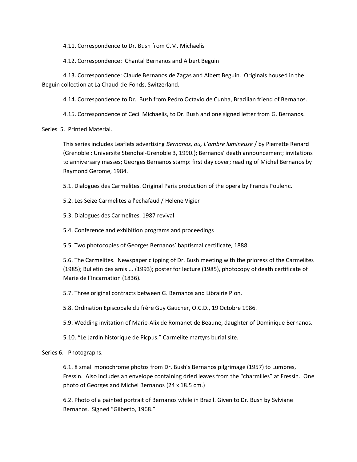4.11. Correspondence to Dr. Bush from C.M. Michaelis

4.12. Correspondence: Chantal Bernanos and Albert Beguin

4.13. Correspondence: Claude Bernanos de Zagas and Albert Beguin. Originals housed in the Beguin collection at La Chaud-de-Fonds, Switzerland.

4.14. Correspondence to Dr. Bush from Pedro Octavio de Cunha, Brazilian friend of Bernanos.

4.15. Correspondence of Cecil Michaelis, to Dr. Bush and one signed letter from G. Bernanos.

Series 5. Printed Material.

This series includes Leaflets advertising *Bernanos, ou, L'ombre lumineuse* / by Pierrette Renard (Grenoble : Universite Stendhal-Grenoble 3, 1990.); Bernanos' death announcement; invitations to anniversary masses; Georges Bernanos stamp: first day cover; reading of Michel Bernanos by Raymond Gerome, 1984.

5.1. Dialogues des Carmelites. Original Paris production of the opera by Francis Poulenc.

5.2. Les Seize Carmelites a l'echafaud / Helene Vigier

5.3. Dialogues des Carmelites. 1987 revival

5.4. Conference and exhibition programs and proceedings

5.5. Two photocopies of Georges Bernanos' baptismal certificate, 1888.

5.6. The Carmelites. Newspaper clipping of Dr. Bush meeting with the prioress of the Carmelites (1985); Bulletin des amis ... (1993); poster for lecture (1985), photocopy of death certificate of Marie de l'Incarnation (1836).

5.7. Three original contracts between G. Bernanos and Librairie Plon.

5.8. Ordination Episcopale du frère Guy Gaucher, O.C.D., 19 Octobre 1986.

5.9. Wedding invitation of Marie-Alix de Romanet de Beaune, daughter of Dominique Bernanos.

5.10. "Le Jardin historique de Picpus." Carmelite martyrs burial site.

Series 6. Photographs.

6.1. 8 small monochrome photos from Dr. Bush's Bernanos pilgrimage (1957) to Lumbres, Fressin. Also includes an envelope containing dried leaves from the "charmilles" at Fressin. One photo of Georges and Michel Bernanos (24 x 18.5 cm.)

6.2. Photo of a painted portrait of Bernanos while in Brazil. Given to Dr. Bush by Sylviane Bernanos. Signed "Gilberto, 1968."